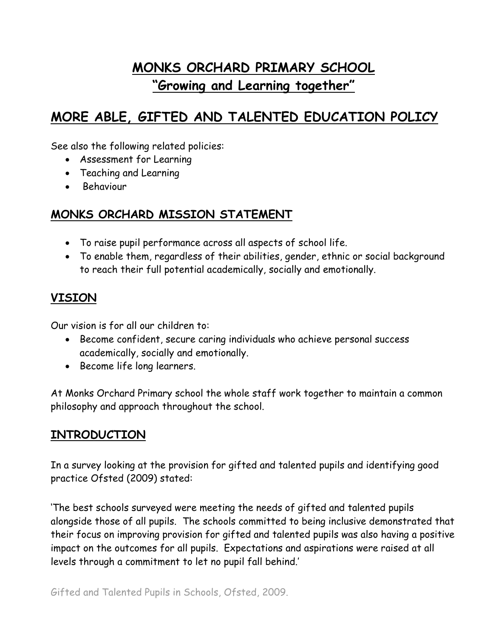# **MONKS ORCHARD PRIMARY SCHOOL "Growing and Learning together"**

# **MORE ABLE, GIFTED AND TALENTED EDUCATION POLICY**

See also the following related policies:

- Assessment for Learning
- Teaching and Learning
- Behaviour

### **MONKS ORCHARD MISSION STATEMENT**

- To raise pupil performance across all aspects of school life.
- To enable them, regardless of their abilities, gender, ethnic or social background to reach their full potential academically, socially and emotionally.

## **VISION**

Our vision is for all our children to:

- Become confident, secure caring individuals who achieve personal success academically, socially and emotionally.
- Become life long learners.

At Monks Orchard Primary school the whole staff work together to maintain a common philosophy and approach throughout the school.

### **INTRODUCTION**

In a survey looking at the provision for gifted and talented pupils and identifying good practice Ofsted (2009) stated:

'The best schools surveyed were meeting the needs of gifted and talented pupils alongside those of all pupils. The schools committed to being inclusive demonstrated that their focus on improving provision for gifted and talented pupils was also having a positive impact on the outcomes for all pupils. Expectations and aspirations were raised at all levels through a commitment to let no pupil fall behind.'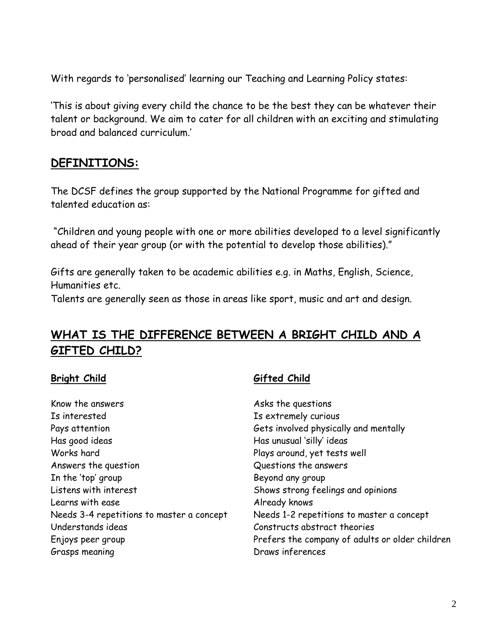With regards to 'personalised' learning our Teaching and Learning Policy states:

'This is about giving every child the chance to be the best they can be whatever their talent or background. We aim to cater for all children with an exciting and stimulating broad and balanced curriculum.'

#### **DEFINITIONS:**

The DCSF defines the group supported by the National Programme for gifted and talented education as:

"Children and young people with one or more abilities developed to a level significantly ahead of their year group (or with the potential to develop those abilities)."

Gifts are generally taken to be academic abilities e.g. in Maths, English, Science, Humanities etc.

Talents are generally seen as those in areas like sport, music and art and design.

## **WHAT IS THE DIFFERENCE BETWEEN A BRIGHT CHILD AND A GIFTED CHILD?**

#### **Bright Child Gifted Child**

| Know the answers                          |
|-------------------------------------------|
| Is interested                             |
| Pays attention                            |
| Has good ideas                            |
| Works hard                                |
| Answers the question                      |
| In the 'top' group                        |
| Listens with interest                     |
| Learns with ease                          |
| Needs 3-4 repetitions to master a concept |
| Understands ideas                         |
| Enjoys peer group                         |
| Grasps meaning                            |

Asks the questions Is extremely curious Gets involved physically and mentally Has unusual 'silly' ideas Plays around, yet tests well Questions the answers Beyond any group Shows strong feelings and opinions Already knows Needs 1-2 repetitions to master a concept Constructs abstract theories Prefers the company of adults or older children Draws inferences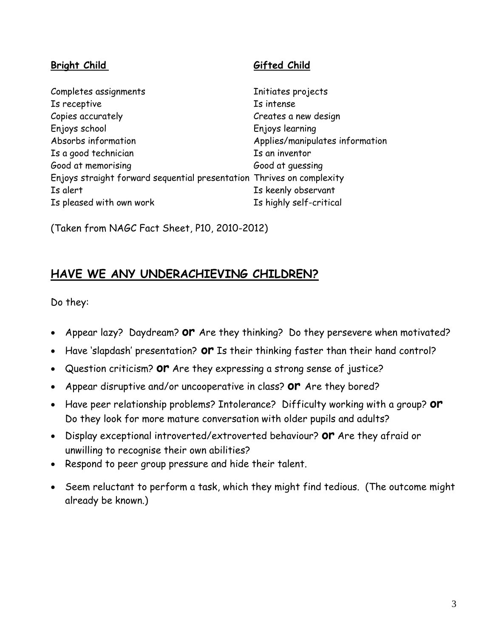#### **Bright Child Gifted Child**

| Completes assignments                                                 | Initiates projects              |
|-----------------------------------------------------------------------|---------------------------------|
| Is receptive                                                          | Is intense                      |
| Copies accurately                                                     | Creates a new design            |
| Enjoys school                                                         | Enjoys learning                 |
| Absorbs information                                                   | Applies/manipulates information |
| Is a good technician                                                  | Is an inventor                  |
| Good at memorising                                                    | Good at quessing                |
| Enjoys straight forward sequential presentation Thrives on complexity |                                 |
| Is alert                                                              | Is keenly observant             |
| Is pleased with own work                                              | Is highly self-critical         |

(Taken from NAGC Fact Sheet, P10, 2010-2012)

### **HAVE WE ANY UNDERACHIEVING CHILDREN?**

Do they:

- Appear lazy? Daydream? **or** Are they thinking? Do they persevere when motivated?
- Have 'slapdash' presentation? **or** Is their thinking faster than their hand control?
- Question criticism? **or** Are they expressing a strong sense of justice?
- Appear disruptive and/or uncooperative in class? **or** Are they bored?
- Have peer relationship problems? Intolerance? Difficulty working with a group? **or**  Do they look for more mature conversation with older pupils and adults?
- Display exceptional introverted/extroverted behaviour? **or** Are they afraid or unwilling to recognise their own abilities?
- Respond to peer group pressure and hide their talent.
- Seem reluctant to perform a task, which they might find tedious. (The outcome might already be known.)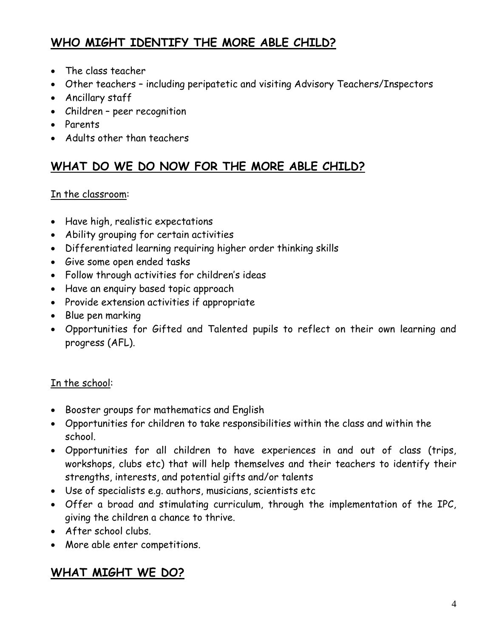## **WHO MIGHT IDENTIFY THE MORE ABLE CHILD?**

- The class teacher
- Other teachers including peripatetic and visiting Advisory Teachers/Inspectors
- Ancillary staff
- Children peer recognition
- Parents
- Adults other than teachers

## **WHAT DO WE DO NOW FOR THE MORE ABLE CHILD?**

#### In the classroom:

- Have high, realistic expectations
- Ability grouping for certain activities
- Differentiated learning requiring higher order thinking skills
- Give some open ended tasks
- Follow through activities for children's ideas
- Have an enquiry based topic approach
- Provide extension activities if appropriate
- Blue pen marking
- Opportunities for Gifted and Talented pupils to reflect on their own learning and progress (AFL).

#### In the school:

- Booster groups for mathematics and English
- Opportunities for children to take responsibilities within the class and within the school.
- Opportunities for all children to have experiences in and out of class (trips, workshops, clubs etc) that will help themselves and their teachers to identify their strengths, interests, and potential gifts and/or talents
- Use of specialists e.g. authors, musicians, scientists etc
- Offer a broad and stimulating curriculum, through the implementation of the IPC, giving the children a chance to thrive.
- After school clubs.
- More able enter competitions.

## **WHAT MIGHT WE DO?**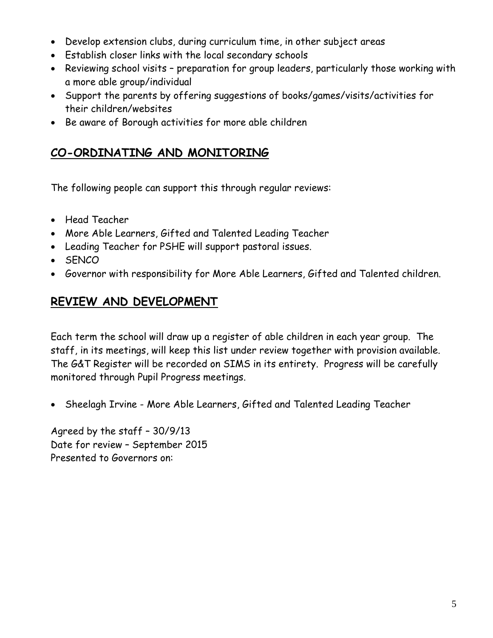- Develop extension clubs, during curriculum time, in other subject areas
- Establish closer links with the local secondary schools
- Reviewing school visits preparation for group leaders, particularly those working with a more able group/individual
- Support the parents by offering suggestions of books/games/visits/activities for their children/websites
- Be aware of Borough activities for more able children

## **CO-ORDINATING AND MONITORING**

The following people can support this through regular reviews:

- Head Teacher
- More Able Learners, Gifted and Talented Leading Teacher
- Leading Teacher for PSHE will support pastoral issues.
- SENCO
- Governor with responsibility for More Able Learners, Gifted and Talented children.

## **REVIEW AND DEVELOPMENT**

Each term the school will draw up a register of able children in each year group. The staff, in its meetings, will keep this list under review together with provision available. The G&T Register will be recorded on SIMS in its entirety. Progress will be carefully monitored through Pupil Progress meetings.

• Sheelagh Irvine - More Able Learners, Gifted and Talented Leading Teacher

Agreed by the staff – 30/9/13 Date for review – September 2015 Presented to Governors on: